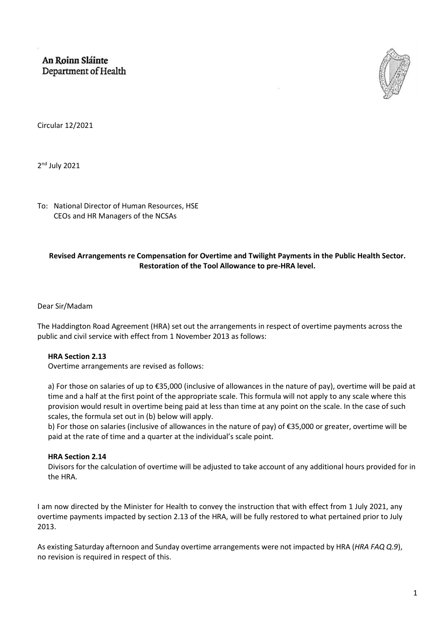An Roinn Sláinte Department of Health



Circular 12/2021

2<sup>nd</sup> July 2021

To: National Director of Human Resources, HSE CEOs and HR Managers of the NCSAs

# **Revised Arrangements re Compensation for Overtime and Twilight Payments in the Public Health Sector. Restoration of the Tool Allowance to pre-HRA level.**

### Dear Sir/Madam

The Haddington Road Agreement (HRA) set out the arrangements in respect of overtime payments across the public and civil service with effect from 1 November 2013 as follows:

## **HRA Section 2.13**

Overtime arrangements are revised as follows:

a) For those on salaries of up to €35,000 (inclusive of allowances in the nature of pay), overtime will be paid at time and a half at the first point of the appropriate scale. This formula will not apply to any scale where this provision would result in overtime being paid at less than time at any point on the scale. In the case of such scales, the formula set out in (b) below will apply.

b) For those on salaries (inclusive of allowances in the nature of pay) of €35,000 or greater, overtime will be paid at the rate of time and a quarter at the individual's scale point.

## **HRA Section 2.14**

Divisors for the calculation of overtime will be adjusted to take account of any additional hours provided for in the HRA.

I am now directed by the Minister for Health to convey the instruction that with effect from 1 July 2021, any overtime payments impacted by section 2.13 of the HRA, will be fully restored to what pertained prior to July 2013.

As existing Saturday afternoon and Sunday overtime arrangements were not impacted by HRA (*HRA FAQ Q.9*), no revision is required in respect of this.